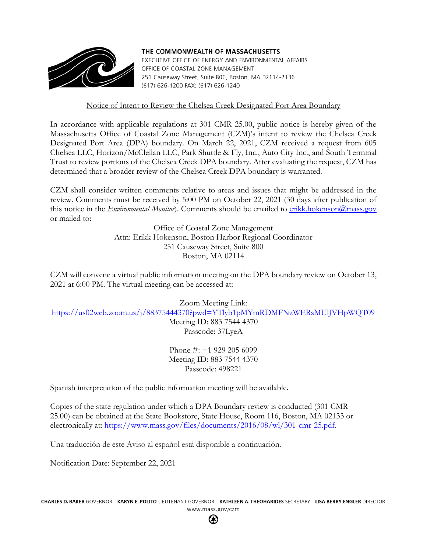

THE COMMONWEALTH OF MASSACHUSETTS EXECUTIVE OFFICE OF ENERGY AND ENVIRONMENTAL AFFAIRS OFFICE OF COASTAL ZONE MANAGEMENT 251 Causeway Street, Suite 800, Boston, MA 02114-2136 (617) 626-1200 FAX: (617) 626-1240

Notice of Intent to Review the Chelsea Creek Designated Port Area Boundary

In accordance with applicable regulations at 301 CMR 25.00, public notice is hereby given of the Massachusetts Office of Coastal Zone Management (CZM)'s intent to review the Chelsea Creek Designated Port Area (DPA) boundary. On March 22, 2021, CZM received a request from 605 Chelsea LLC, Horizon/McClellan LLC, Park Shuttle & Fly, Inc., Auto City Inc., and South Terminal Trust to review portions of the Chelsea Creek DPA boundary. After evaluating the request, CZM has determined that a broader review of the Chelsea Creek DPA boundary is warranted.

CZM shall consider written comments relative to areas and issues that might be addressed in the review. Comments must be received by 5:00 PM on October 22, 2021 (30 days after publication of this notice in the *Environmental Monitor*). Comments should be emailed to [erikk.hokenson@mass.gov](mailto:erikk.hokenson@mass.gov) or mailed to:

> Office of Coastal Zone Management Attn: Erikk Hokenson, Boston Harbor Regional Coordinator 251 Causeway Street, Suite 800 Boston, MA 02114

CZM will convene a virtual public information meeting on the DPA boundary review on October 13, 2021 at 6:00 PM. The virtual meeting can be accessed at:

Zoom Meeting Link: <https://us02web.zoom.us/j/88375444370?pwd=YTlyb1pMYmRDMFNzWERsMUlJVHpWQT09>

Meeting ID: 883 7544 4370 Passcode: 37LyeA

Phone #: +1 929 205 6099 Meeting ID: 883 7544 4370 Passcode: 498221

Spanish interpretation of the public information meeting will be available.

Copies of the state regulation under which a DPA Boundary review is conducted (301 CMR 25.00) can be obtained at the State Bookstore, State House, Room 116, Boston, MA 02133 or electronically at: [https://www.mass.gov/files/documents/2016/08/wl/301-cmr-25.pdf.](https://www.mass.gov/files/documents/2016/08/wl/301-cmr-25.pdf)

Una traducción de este Aviso al español está disponible a continuación.

Notification Date: September 22, 2021

的